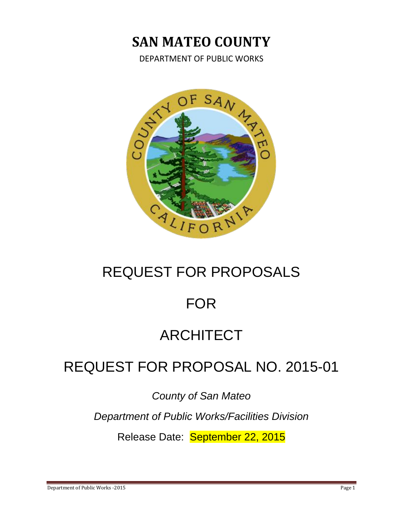# **SAN MATEO COUNTY**

DEPARTMENT OF PUBLIC WORKS



# REQUEST FOR PROPOSALS

# FOR

# ARCHITECT

# REQUEST FOR PROPOSAL NO. 2015-01

*County of San Mateo*

*Department of Public Works/Facilities Division*

Release Date: September 22, 2015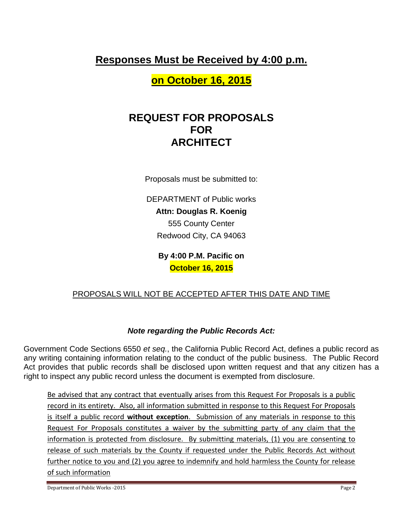## **Responses Must be Received by 4:00 p.m.**

**on October 16, 2015**

## **REQUEST FOR PROPOSALS FOR ARCHITECT**

Proposals must be submitted to:

DEPARTMENT of Public works **Attn: Douglas R. Koenig** 555 County Center Redwood City, CA 94063

> **By 4:00 P.M. Pacific on October 16, 2015**

## PROPOSALS WILL NOT BE ACCEPTED AFTER THIS DATE AND TIME

## *Note regarding the Public Records Act:*

Government Code Sections 6550 *et seq.*, the California Public Record Act, defines a public record as any writing containing information relating to the conduct of the public business. The Public Record Act provides that public records shall be disclosed upon written request and that any citizen has a right to inspect any public record unless the document is exempted from disclosure.

Be advised that any contract that eventually arises from this Request For Proposals is a public record in its entirety. Also, all information submitted in response to this Request For Proposals is itself a public record **without exception**. Submission of any materials in response to this Request For Proposals constitutes a waiver by the submitting party of any claim that the information is protected from disclosure. By submitting materials, (1) you are consenting to release of such materials by the County if requested under the Public Records Act without further notice to you and (2) you agree to indemnify and hold harmless the County for release of such information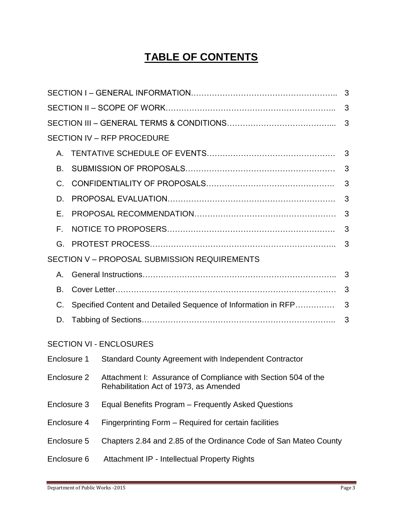## **TABLE OF CONTENTS**

|             |                                                                    | <b>SECTION IV - RFP PROCEDURE</b>                                                                       |   |  |  |  |
|-------------|--------------------------------------------------------------------|---------------------------------------------------------------------------------------------------------|---|--|--|--|
| Α.          |                                                                    |                                                                                                         |   |  |  |  |
| В.          |                                                                    |                                                                                                         | 3 |  |  |  |
| C.          |                                                                    | 3                                                                                                       |   |  |  |  |
| D.          |                                                                    | 3                                                                                                       |   |  |  |  |
| Е.          |                                                                    | 3                                                                                                       |   |  |  |  |
| F.          |                                                                    | 3                                                                                                       |   |  |  |  |
| G.          |                                                                    | 3                                                                                                       |   |  |  |  |
|             |                                                                    | SECTION V - PROPOSAL SUBMISSION REQUIREMENTS                                                            |   |  |  |  |
| Α.          |                                                                    |                                                                                                         | 3 |  |  |  |
| В.          |                                                                    |                                                                                                         |   |  |  |  |
| C.          | 3<br>Specified Content and Detailed Sequence of Information in RFP |                                                                                                         |   |  |  |  |
| D.          |                                                                    | 3                                                                                                       |   |  |  |  |
|             |                                                                    | <b>SECTION VI - ENCLOSURES</b>                                                                          |   |  |  |  |
| Enclosure 1 |                                                                    | Standard County Agreement with Independent Contractor                                                   |   |  |  |  |
| Enclosure 2 |                                                                    | Attachment I: Assurance of Compliance with Section 504 of the<br>Rehabilitation Act of 1973, as Amended |   |  |  |  |
| Enclosure 3 |                                                                    | Equal Benefits Program – Frequently Asked Questions                                                     |   |  |  |  |
| Enclosure 4 |                                                                    | Fingerprinting Form – Required for certain facilities                                                   |   |  |  |  |
| Enclosure 5 |                                                                    | Chapters 2.84 and 2.85 of the Ordinance Code of San Mateo County                                        |   |  |  |  |
| Enclosure 6 |                                                                    | Attachment IP - Intellectual Property Rights                                                            |   |  |  |  |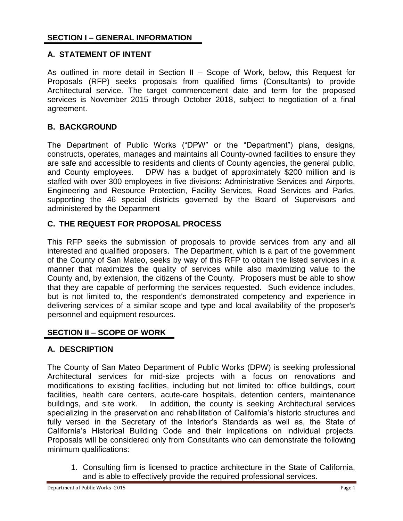## **A. STATEMENT OF INTENT**

As outlined in more detail in Section II – Scope of Work, below, this Request for Proposals (RFP) seeks proposals from qualified firms (Consultants) to provide Architectural service. The target commencement date and term for the proposed services is November 2015 through October 2018, subject to negotiation of a final agreement.

## **B. BACKGROUND**

The Department of Public Works ("DPW" or the "Department") plans, designs, constructs, operates, manages and maintains all County-owned facilities to ensure they are safe and accessible to residents and clients of County agencies, the general public, and County employees. DPW has a budget of approximately \$200 million and is staffed with over 300 employees in five divisions: Administrative Services and Airports, Engineering and Resource Protection, Facility Services, Road Services and Parks, supporting the 46 special districts governed by the Board of Supervisors and administered by the Department

## **C. THE REQUEST FOR PROPOSAL PROCESS**

This RFP seeks the submission of proposals to provide services from any and all interested and qualified proposers. The Department, which is a part of the government of the County of San Mateo, seeks by way of this RFP to obtain the listed services in a manner that maximizes the quality of services while also maximizing value to the County and, by extension, the citizens of the County. Proposers must be able to show that they are capable of performing the services requested. Such evidence includes, but is not limited to, the respondent's demonstrated competency and experience in delivering services of a similar scope and type and local availability of the proposer's personnel and equipment resources.

### **SECTION II – SCOPE OF WORK**

### **A. DESCRIPTION**

The County of San Mateo Department of Public Works (DPW) is seeking professional Architectural services for mid-size projects with a focus on renovations and modifications to existing facilities, including but not limited to: office buildings, court facilities, health care centers, acute-care hospitals, detention centers, maintenance buildings, and site work. In addition, the county is seeking Architectural services specializing in the preservation and rehabilitation of California's historic structures and fully versed in the Secretary of the Interior's Standards as well as, the State of California's Historical Building Code and their implications on individual projects. Proposals will be considered only from Consultants who can demonstrate the following minimum qualifications:

1. Consulting firm is licensed to practice architecture in the State of California, and is able to effectively provide the required professional services.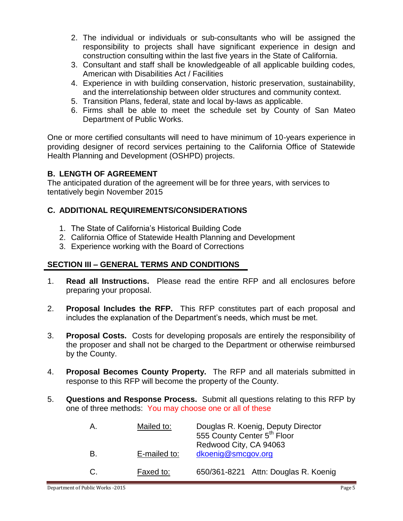- 2. The individual or individuals or sub-consultants who will be assigned the responsibility to projects shall have significant experience in design and construction consulting within the last five years in the State of California.
- 3. Consultant and staff shall be knowledgeable of all applicable building codes, American with Disabilities Act / Facilities
- 4. Experience in with building conservation, historic preservation, sustainability, and the interrelationship between older structures and community context.
- 5. Transition Plans, federal, state and local by-laws as applicable.
- 6. Firms shall be able to meet the schedule set by County of San Mateo Department of Public Works.

One or more certified consultants will need to have minimum of 10-years experience in providing designer of record services pertaining to the California Office of Statewide Health Planning and Development (OSHPD) projects.

## **B. LENGTH OF AGREEMENT**

The anticipated duration of the agreement will be for three years, with services to tentatively begin November 2015

## **C. ADDITIONAL REQUIREMENTS/CONSIDERATIONS**

- 1. The State of California's Historical Building Code
- 2. California Office of Statewide Health Planning and Development
- 3. Experience working with the Board of Corrections

### **SECTION III – GENERAL TERMS AND CONDITIONS**

- 1. **Read all Instructions.** Please read the entire RFP and all enclosures before preparing your proposal.
- 2. **Proposal Includes the RFP.** This RFP constitutes part of each proposal and includes the explanation of the Department's needs, which must be met.
- 3. **Proposal Costs.** Costs for developing proposals are entirely the responsibility of the proposer and shall not be charged to the Department or otherwise reimbursed by the County.
- 4. **Proposal Becomes County Property.** The RFP and all materials submitted in response to this RFP will become the property of the County.
- 5. **Questions and Response Process.** Submit all questions relating to this RFP by one of three methods: You may choose one or all of these

| Α. | Mailed to:   | Douglas R. Koenig, Deputy Director<br>555 County Center 5 <sup>th</sup> Floor<br>Redwood City, CA 94063 |  |
|----|--------------|---------------------------------------------------------------------------------------------------------|--|
| В. | E-mailed to: | dkoenig@smcgov.org                                                                                      |  |
| C. | Faxed to:    | 650/361-8221 Attn: Douglas R. Koenig                                                                    |  |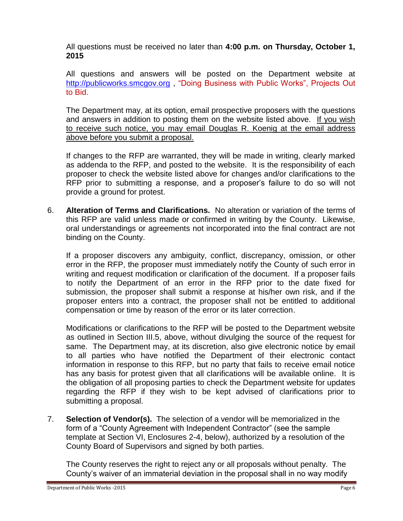All questions must be received no later than **4:00 p.m. on Thursday, October 1, 2015**

All questions and answers will be posted on the Department website at [http://publicworks.smcgov.org](http://publicworks.smcgov.org/) , "Doing Business with Public Works", Projects Out to Bid.

The Department may, at its option, email prospective proposers with the questions and answers in addition to posting them on the website listed above. If you wish to receive such notice, you may email Douglas R. Koenig at the email address above before you submit a proposal.

If changes to the RFP are warranted, they will be made in writing, clearly marked as addenda to the RFP, and posted to the website. It is the responsibility of each proposer to check the website listed above for changes and/or clarifications to the RFP prior to submitting a response, and a proposer's failure to do so will not provide a ground for protest.

6. **Alteration of Terms and Clarifications.** No alteration or variation of the terms of this RFP are valid unless made or confirmed in writing by the County. Likewise, oral understandings or agreements not incorporated into the final contract are not binding on the County.

If a proposer discovers any ambiguity, conflict, discrepancy, omission, or other error in the RFP, the proposer must immediately notify the County of such error in writing and request modification or clarification of the document. If a proposer fails to notify the Department of an error in the RFP prior to the date fixed for submission, the proposer shall submit a response at his/her own risk, and if the proposer enters into a contract, the proposer shall not be entitled to additional compensation or time by reason of the error or its later correction.

Modifications or clarifications to the RFP will be posted to the Department website as outlined in Section III.5, above, without divulging the source of the request for same. The Department may, at its discretion, also give electronic notice by email to all parties who have notified the Department of their electronic contact information in response to this RFP, but no party that fails to receive email notice has any basis for protest given that all clarifications will be available online. It is the obligation of all proposing parties to check the Department website for updates regarding the RFP if they wish to be kept advised of clarifications prior to submitting a proposal.

7. **Selection of Vendor(s).** The selection of a vendor will be memorialized in the form of a "County Agreement with Independent Contractor" (see the sample template at Section VI, Enclosures 2-4, below), authorized by a resolution of the County Board of Supervisors and signed by both parties.

The County reserves the right to reject any or all proposals without penalty. The County's waiver of an immaterial deviation in the proposal shall in no way modify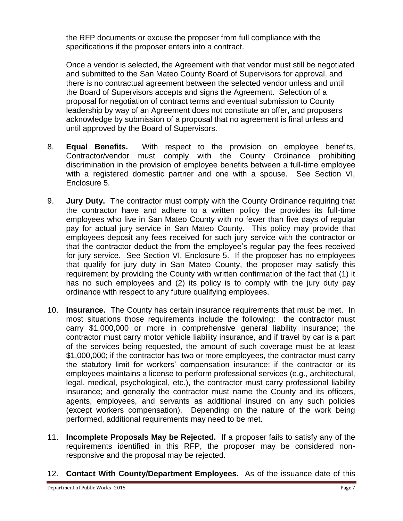the RFP documents or excuse the proposer from full compliance with the specifications if the proposer enters into a contract.

Once a vendor is selected, the Agreement with that vendor must still be negotiated and submitted to the San Mateo County Board of Supervisors for approval, and there is no contractual agreement between the selected vendor unless and until the Board of Supervisors accepts and signs the Agreement. Selection of a proposal for negotiation of contract terms and eventual submission to County leadership by way of an Agreement does not constitute an offer, and proposers acknowledge by submission of a proposal that no agreement is final unless and until approved by the Board of Supervisors.

- 8. **Equal Benefits.** With respect to the provision on employee benefits, Contractor/vendor must comply with the County Ordinance prohibiting discrimination in the provision of employee benefits between a full-time employee with a registered domestic partner and one with a spouse. See Section VI, Enclosure 5.
- 9. **Jury Duty.** The contractor must comply with the County Ordinance requiring that the contractor have and adhere to a written policy the provides its full-time employees who live in San Mateo County with no fewer than five days of regular pay for actual jury service in San Mateo County. This policy may provide that employees deposit any fees received for such jury service with the contractor or that the contractor deduct the from the employee's regular pay the fees received for jury service. See Section VI, Enclosure 5. If the proposer has no employees that qualify for jury duty in San Mateo County, the proposer may satisfy this requirement by providing the County with written confirmation of the fact that (1) it has no such employees and (2) its policy is to comply with the jury duty pay ordinance with respect to any future qualifying employees.
- 10. **Insurance.** The County has certain insurance requirements that must be met. In most situations those requirements include the following: the contractor must carry \$1,000,000 or more in comprehensive general liability insurance; the contractor must carry motor vehicle liability insurance, and if travel by car is a part of the services being requested, the amount of such coverage must be at least \$1,000,000; if the contractor has two or more employees, the contractor must carry the statutory limit for workers' compensation insurance; if the contractor or its employees maintains a license to perform professional services (e.g., architectural, legal, medical, psychological, etc.), the contractor must carry professional liability insurance; and generally the contractor must name the County and its officers, agents, employees, and servants as additional insured on any such policies (except workers compensation). Depending on the nature of the work being performed, additional requirements may need to be met.
- 11. **Incomplete Proposals May be Rejected.** If a proposer fails to satisfy any of the requirements identified in this RFP, the proposer may be considered nonresponsive and the proposal may be rejected.
- 12. **Contact With County/Department Employees.** As of the issuance date of this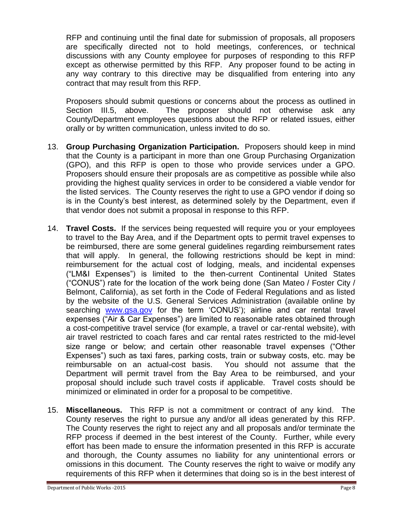RFP and continuing until the final date for submission of proposals, all proposers are specifically directed not to hold meetings, conferences, or technical discussions with any County employee for purposes of responding to this RFP except as otherwise permitted by this RFP. Any proposer found to be acting in any way contrary to this directive may be disqualified from entering into any contract that may result from this RFP.

Proposers should submit questions or concerns about the process as outlined in Section III.5, above. The proposer should not otherwise ask any County/Department employees questions about the RFP or related issues, either orally or by written communication, unless invited to do so.

- 13. **Group Purchasing Organization Participation.** Proposers should keep in mind that the County is a participant in more than one Group Purchasing Organization (GPO), and this RFP is open to those who provide services under a GPO. Proposers should ensure their proposals are as competitive as possible while also providing the highest quality services in order to be considered a viable vendor for the listed services. The County reserves the right to use a GPO vendor if doing so is in the County's best interest, as determined solely by the Department, even if that vendor does not submit a proposal in response to this RFP.
- 14. **Travel Costs.** If the services being requested will require you or your employees to travel to the Bay Area, and if the Department opts to permit travel expenses to be reimbursed, there are some general guidelines regarding reimbursement rates that will apply. In general, the following restrictions should be kept in mind: reimbursement for the actual cost of lodging, meals, and incidental expenses ("LM&I Expenses") is limited to the then-current Continental United States ("CONUS") rate for the location of the work being done (San Mateo / Foster City / Belmont, California), as set forth in the Code of Federal Regulations and as listed by the website of the U.S. General Services Administration (available online by searching [www.gsa.gov](http://www.gsa.gov/) for the term 'CONUS'); airline and car rental travel expenses ("Air & Car Expenses") are limited to reasonable rates obtained through a cost-competitive travel service (for example, a travel or car-rental website), with air travel restricted to coach fares and car rental rates restricted to the mid-level size range or below; and certain other reasonable travel expenses ("Other Expenses") such as taxi fares, parking costs, train or subway costs, etc. may be reimbursable on an actual-cost basis. You should not assume that the Department will permit travel from the Bay Area to be reimbursed, and your proposal should include such travel costs if applicable. Travel costs should be minimized or eliminated in order for a proposal to be competitive.
- 15. **Miscellaneous.** This RFP is not a commitment or contract of any kind. The County reserves the right to pursue any and/or all ideas generated by this RFP. The County reserves the right to reject any and all proposals and/or terminate the RFP process if deemed in the best interest of the County. Further, while every effort has been made to ensure the information presented in this RFP is accurate and thorough, the County assumes no liability for any unintentional errors or omissions in this document. The County reserves the right to waive or modify any requirements of this RFP when it determines that doing so is in the best interest of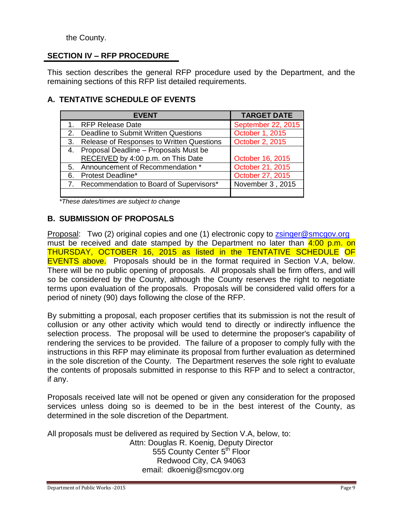## the County.

## **SECTION IV – RFP PROCEDURE**

This section describes the general RFP procedure used by the Department, and the remaining sections of this RFP list detailed requirements.

## **A. TENTATIVE SCHEDULE OF EVENTS**

|    | <b>EVENT</b>                               | <b>TARGET DATE</b> |
|----|--------------------------------------------|--------------------|
|    | 1. RFP Release Date                        | September 22, 2015 |
| 2. | Deadline to Submit Written Questions       | October 1, 2015    |
| 3. | Release of Responses to Written Questions  | October 2, 2015    |
|    | 4. Proposal Deadline - Proposals Must be   |                    |
|    | RECEIVED by 4:00 p.m. on This Date         | October 16, 2015   |
|    | 5. Announcement of Recommendation *        | October 21, 2015   |
| 6. | <b>Protest Deadline*</b>                   | October 27, 2015   |
|    | 7. Recommendation to Board of Supervisors* | November 3, 2015   |
|    |                                            |                    |

*\*These dates/times are subject to change*

## **B. SUBMISSION OF PROPOSALS**

Proposal: Two (2) original copies and one (1) electronic copy to [zsinger@smcgov.org](mailto:zsinger@smcgov.org) must be received and date stamped by the Department no later than  $4:00$  p.m. on THURSDAY, OCTOBER 16, 2015 as listed in the TENTATIVE SCHEDULE OF EVENTS above. Proposals should be in the format required in Section V.A, below. There will be no public opening of proposals. All proposals shall be firm offers, and will so be considered by the County, although the County reserves the right to negotiate terms upon evaluation of the proposals. Proposals will be considered valid offers for a period of ninety (90) days following the close of the RFP.

By submitting a proposal, each proposer certifies that its submission is not the result of collusion or any other activity which would tend to directly or indirectly influence the selection process. The proposal will be used to determine the proposer's capability of rendering the services to be provided. The failure of a proposer to comply fully with the instructions in this RFP may eliminate its proposal from further evaluation as determined in the sole discretion of the County. The Department reserves the sole right to evaluate the contents of proposals submitted in response to this RFP and to select a contractor, if any.

Proposals received late will not be opened or given any consideration for the proposed services unless doing so is deemed to be in the best interest of the County, as determined in the sole discretion of the Department.

All proposals must be delivered as required by Section V.A, below, to: Attn: Douglas R. Koenig, Deputy Director 555 County Center 5<sup>th</sup> Floor Redwood City, CA 94063 email: dkoenig@smcgov.org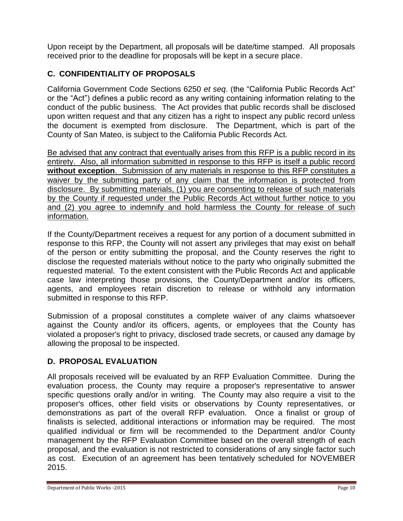Upon receipt by the Department, all proposals will be date/time stamped. All proposals received prior to the deadline for proposals will be kept in a secure place.

## **C. CONFIDENTIALITY OF PROPOSALS**

California Government Code Sections 6250 *et seq*. (the "California Public Records Act" or the "Act") defines a public record as any writing containing information relating to the conduct of the public business. The Act provides that public records shall be disclosed upon written request and that any citizen has a right to inspect any public record unless the document is exempted from disclosure. The Department, which is part of the County of San Mateo, is subject to the California Public Records Act.

Be advised that any contract that eventually arises from this RFP is a public record in its entirety. Also, all information submitted in response to this RFP is itself a public record **without exception**. Submission of any materials in response to this RFP constitutes a waiver by the submitting party of any claim that the information is protected from disclosure. By submitting materials, (1) you are consenting to release of such materials by the County if requested under the Public Records Act without further notice to you and (2) you agree to indemnify and hold harmless the County for release of such information.

If the County/Department receives a request for any portion of a document submitted in response to this RFP, the County will not assert any privileges that may exist on behalf of the person or entity submitting the proposal, and the County reserves the right to disclose the requested materials without notice to the party who originally submitted the requested material. To the extent consistent with the Public Records Act and applicable case law interpreting those provisions, the County/Department and/or its officers, agents, and employees retain discretion to release or withhold any information submitted in response to this RFP.

Submission of a proposal constitutes a complete waiver of any claims whatsoever against the County and/or its officers, agents, or employees that the County has violated a proposer's right to privacy, disclosed trade secrets, or caused any damage by allowing the proposal to be inspected.

## **D. PROPOSAL EVALUATION**

All proposals received will be evaluated by an RFP Evaluation Committee. During the evaluation process, the County may require a proposer's representative to answer specific questions orally and/or in writing. The County may also require a visit to the proposer's offices, other field visits or observations by County representatives, or demonstrations as part of the overall RFP evaluation. Once a finalist or group of finalists is selected, additional interactions or information may be required. The most qualified individual or firm will be recommended to the Department and/or County management by the RFP Evaluation Committee based on the overall strength of each proposal, and the evaluation is not restricted to considerations of any single factor such as cost. Execution of an agreement has been tentatively scheduled for NOVEMBER 2015.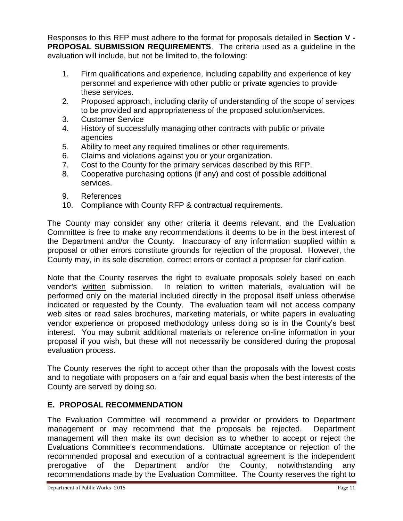Responses to this RFP must adhere to the format for proposals detailed in **Section V - PROPOSAL SUBMISSION REQUIREMENTS**. The criteria used as a guideline in the evaluation will include, but not be limited to, the following:

- 1. Firm qualifications and experience, including capability and experience of key personnel and experience with other public or private agencies to provide these services.
- 2. Proposed approach, including clarity of understanding of the scope of services to be provided and appropriateness of the proposed solution/services.
- 3. Customer Service
- 4. History of successfully managing other contracts with public or private agencies
- 5. Ability to meet any required timelines or other requirements.
- 6. Claims and violations against you or your organization.
- 7. Cost to the County for the primary services described by this RFP.
- 8. Cooperative purchasing options (if any) and cost of possible additional services.
- 9. References
- 10. Compliance with County RFP & contractual requirements.

The County may consider any other criteria it deems relevant, and the Evaluation Committee is free to make any recommendations it deems to be in the best interest of the Department and/or the County. Inaccuracy of any information supplied within a proposal or other errors constitute grounds for rejection of the proposal. However, the County may, in its sole discretion, correct errors or contact a proposer for clarification.

Note that the County reserves the right to evaluate proposals solely based on each vendor's written submission. In relation to written materials, evaluation will be performed only on the material included directly in the proposal itself unless otherwise indicated or requested by the County. The evaluation team will not access company web sites or read sales brochures, marketing materials, or white papers in evaluating vendor experience or proposed methodology unless doing so is in the County's best interest. You may submit additional materials or reference on-line information in your proposal if you wish, but these will not necessarily be considered during the proposal evaluation process.

The County reserves the right to accept other than the proposals with the lowest costs and to negotiate with proposers on a fair and equal basis when the best interests of the County are served by doing so.

## **E. PROPOSAL RECOMMENDATION**

The Evaluation Committee will recommend a provider or providers to Department management or may recommend that the proposals be rejected. Department management will then make its own decision as to whether to accept or reject the Evaluations Committee's recommendations. Ultimate acceptance or rejection of the recommended proposal and execution of a contractual agreement is the independent prerogative of the Department and/or the County, notwithstanding any recommendations made by the Evaluation Committee. The County reserves the right to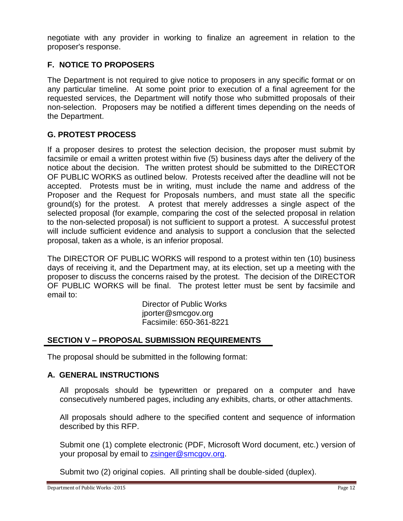negotiate with any provider in working to finalize an agreement in relation to the proposer's response.

## **F. NOTICE TO PROPOSERS**

The Department is not required to give notice to proposers in any specific format or on any particular timeline. At some point prior to execution of a final agreement for the requested services, the Department will notify those who submitted proposals of their non-selection. Proposers may be notified a different times depending on the needs of the Department.

## **G. G. PROTEST PROCESS**

If a proposer desires to protest the selection decision, the proposer must submit by facsimile or email a written protest within five (5) business days after the delivery of the notice about the decision. The written protest should be submitted to the DIRECTOR OF PUBLIC WORKS as outlined below. Protests received after the deadline will not be accepted. Protests must be in writing, must include the name and address of the Proposer and the Request for Proposals numbers, and must state all the specific ground(s) for the protest. A protest that merely addresses a single aspect of the selected proposal (for example, comparing the cost of the selected proposal in relation to the non-selected proposal) is not sufficient to support a protest. A successful protest will include sufficient evidence and analysis to support a conclusion that the selected proposal, taken as a whole, is an inferior proposal.

The DIRECTOR OF PUBLIC WORKS will respond to a protest within ten (10) business days of receiving it, and the Department may, at its election, set up a meeting with the proposer to discuss the concerns raised by the protest. The decision of the DIRECTOR OF PUBLIC WORKS will be final. The protest letter must be sent by facsimile and email to:

> Director of Public Works jporter@smcgov.org Facsimile: 650-361-8221

### **SECTION V – PROPOSAL SUBMISSION REQUIREMENTS**

The proposal should be submitted in the following format:

### **A. GENERAL INSTRUCTIONS**

All proposals should be typewritten or prepared on a computer and have consecutively numbered pages, including any exhibits, charts, or other attachments.

All proposals should adhere to the specified content and sequence of information described by this RFP.

Submit one (1) complete electronic (PDF, Microsoft Word document, etc.) version of your proposal by email to [zsinger@smcgov.org.](mailto:zsinger@smcgov.org)

Submit two (2) original copies. All printing shall be double-sided (duplex).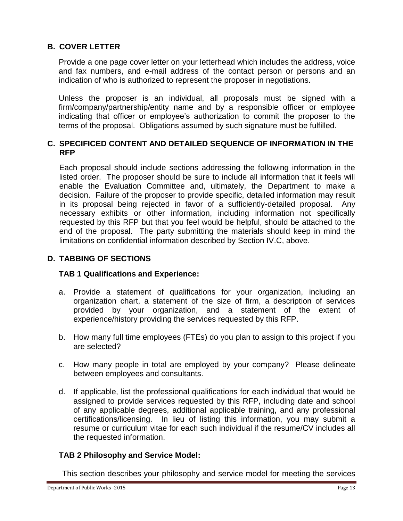## **B. COVER LETTER**

Provide a one page cover letter on your letterhead which includes the address, voice and fax numbers, and e-mail address of the contact person or persons and an indication of who is authorized to represent the proposer in negotiations.

Unless the proposer is an individual, all proposals must be signed with a firm/company/partnership/entity name and by a responsible officer or employee indicating that officer or employee's authorization to commit the proposer to the terms of the proposal. Obligations assumed by such signature must be fulfilled.

#### **C. SPECIFICED CONTENT AND DETAILED SEQUENCE OF INFORMATION IN THE RFP**

Each proposal should include sections addressing the following information in the listed order. The proposer should be sure to include all information that it feels will enable the Evaluation Committee and, ultimately, the Department to make a decision. Failure of the proposer to provide specific, detailed information may result in its proposal being rejected in favor of a sufficiently-detailed proposal. Any necessary exhibits or other information, including information not specifically requested by this RFP but that you feel would be helpful, should be attached to the end of the proposal. The party submitting the materials should keep in mind the limitations on confidential information described by Section IV.C, above.

## **D. TABBING OF SECTIONS**

### **TAB 1 Qualifications and Experience:**

- a. Provide a statement of qualifications for your organization, including an organization chart, a statement of the size of firm, a description of services provided by your organization, and a statement of the extent of experience/history providing the services requested by this RFP.
- b. How many full time employees (FTEs) do you plan to assign to this project if you are selected?
- c. How many people in total are employed by your company? Please delineate between employees and consultants.
- d. If applicable, list the professional qualifications for each individual that would be assigned to provide services requested by this RFP, including date and school of any applicable degrees, additional applicable training, and any professional certifications/licensing. In lieu of listing this information, you may submit a resume or curriculum vitae for each such individual if the resume/CV includes all the requested information.

### **TAB 2 Philosophy and Service Model:**

This section describes your philosophy and service model for meeting the services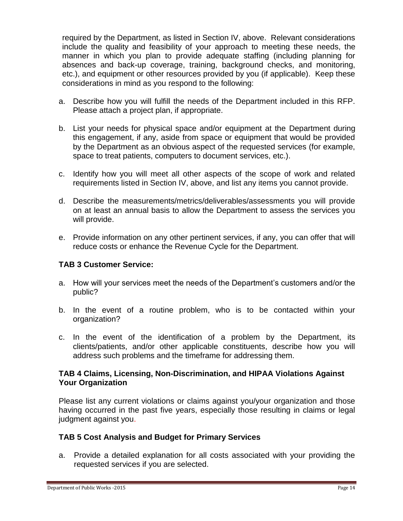required by the Department, as listed in Section IV, above. Relevant considerations include the quality and feasibility of your approach to meeting these needs, the manner in which you plan to provide adequate staffing (including planning for absences and back-up coverage, training, background checks, and monitoring, etc.), and equipment or other resources provided by you (if applicable). Keep these considerations in mind as you respond to the following:

- a. Describe how you will fulfill the needs of the Department included in this RFP. Please attach a project plan, if appropriate.
- b. List your needs for physical space and/or equipment at the Department during this engagement, if any, aside from space or equipment that would be provided by the Department as an obvious aspect of the requested services (for example, space to treat patients, computers to document services, etc.).
- c. Identify how you will meet all other aspects of the scope of work and related requirements listed in Section IV, above, and list any items you cannot provide.
- d. Describe the measurements/metrics/deliverables/assessments you will provide on at least an annual basis to allow the Department to assess the services you will provide.
- e. Provide information on any other pertinent services, if any, you can offer that will reduce costs or enhance the Revenue Cycle for the Department.

## **TAB 3 Customer Service:**

- a. How will your services meet the needs of the Department's customers and/or the public?
- b. In the event of a routine problem, who is to be contacted within your organization?
- c. In the event of the identification of a problem by the Department, its clients/patients, and/or other applicable constituents, describe how you will address such problems and the timeframe for addressing them.

### **TAB 4 Claims, Licensing, Non-Discrimination, and HIPAA Violations Against Your Organization**

Please list any current violations or claims against you/your organization and those having occurred in the past five years, especially those resulting in claims or legal judgment against you.

### **TAB 5 Cost Analysis and Budget for Primary Services**

a. Provide a detailed explanation for all costs associated with your providing the requested services if you are selected.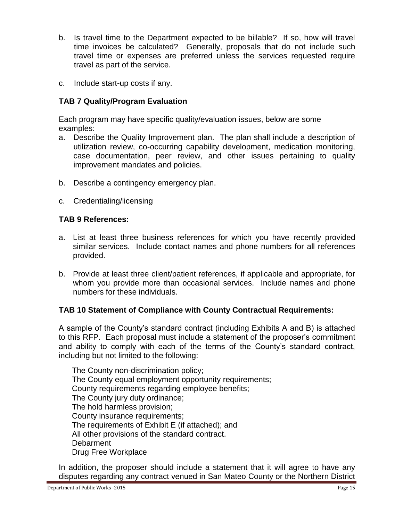- b. Is travel time to the Department expected to be billable? If so, how will travel time invoices be calculated? Generally, proposals that do not include such travel time or expenses are preferred unless the services requested require travel as part of the service.
- c. Include start-up costs if any.

## **TAB 7 Quality/Program Evaluation**

Each program may have specific quality/evaluation issues, below are some examples:

- a. Describe the Quality Improvement plan. The plan shall include a description of utilization review, co-occurring capability development, medication monitoring, case documentation, peer review, and other issues pertaining to quality improvement mandates and policies.
- b. Describe a contingency emergency plan.
- c. Credentialing/licensing

## **TAB 9 References:**

- a. List at least three business references for which you have recently provided similar services. Include contact names and phone numbers for all references provided.
- b. Provide at least three client/patient references, if applicable and appropriate, for whom you provide more than occasional services. Include names and phone numbers for these individuals.

### **TAB 10 Statement of Compliance with County Contractual Requirements:**

A sample of the County's standard contract (including Exhibits A and B) is attached to this RFP. Each proposal must include a statement of the proposer's commitment and ability to comply with each of the terms of the County's standard contract, including but not limited to the following:

The County non-discrimination policy; The County equal employment opportunity requirements; County requirements regarding employee benefits; The County jury duty ordinance; The hold harmless provision; County insurance requirements; The requirements of Exhibit E (if attached); and All other provisions of the standard contract. **Debarment** Drug Free Workplace

In addition, the proposer should include a statement that it will agree to have any disputes regarding any contract venued in San Mateo County or the Northern District